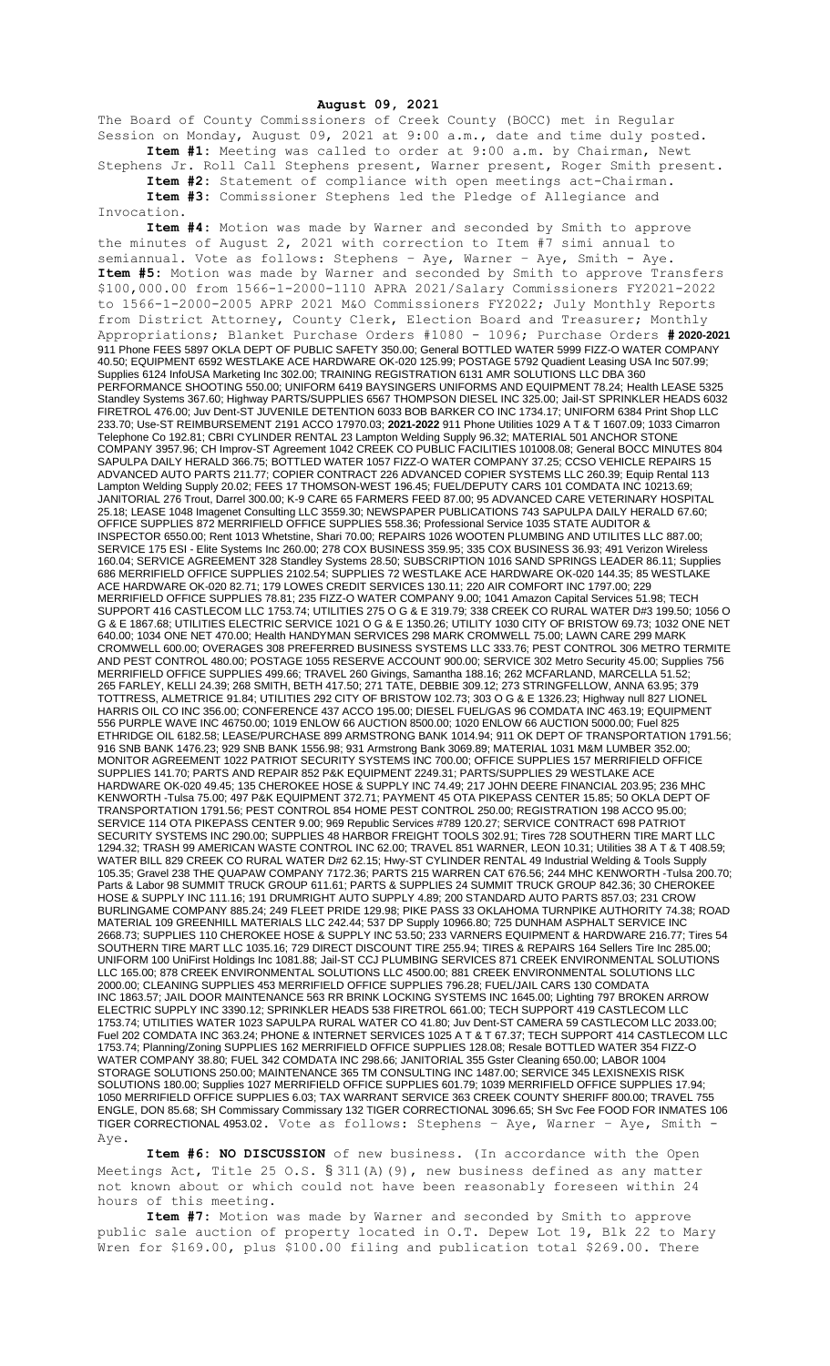**August 09, 2021**

The Board of County Commissioners of Creek County (BOCC) met in Regular Session on Monday, August 09, 2021 at 9:00 a.m., date and time duly posted. **Item #1:** Meeting was called to order at 9:00 a.m. by Chairman, Newt

Stephens Jr. Roll Call Stephens present, Warner present, Roger Smith present. **Item #2:** Statement of compliance with open meetings act-Chairman.

**Item #3:** Commissioner Stephens led the Pledge of Allegiance and Invocation.

**Item #4:** Motion was made by Warner and seconded by Smith to approve the minutes of August 2, 2021 with correction to Item #7 simi annual to semiannual. Vote as follows: Stephens – Aye, Warner – Aye, Smith - Aye. **Item #5:** Motion was made by Warner and seconded by Smith to approve Transfers \$100,000.00 from 1566-1-2000-1110 APRA 2021/Salary Commissioners FY2021-2022 to 1566-1-2000-2005 APRP 2021 M&O Commissioners FY2022; July Monthly Reports from District Attorney, County Clerk, Election Board and Treasurer; Monthly Appropriations; Blanket Purchase Orders #1080 - 1096; Purchase Orders **# 2020-2021** 911 Phone FEES 5897 OKLA DEPT OF PUBLIC SAFETY 350.00; General BOTTLED WATER 5999 FIZZ-O WATER COMPANY 40.50; EQUIPMENT 6592 WESTLAKE ACE HARDWARE OK-020 125.99; POSTAGE 5792 Quadient Leasing USA Inc 507.99; Supplies 6124 InfoUSA Marketing Inc 302.00; TRAINING REGISTRATION 6131 AMR SOLUTIONS LLC DBA 360 PERFORMANCE SHOOTING 550.00; UNIFORM 6419 BAYSINGERS UNIFORMS AND EQUIPMENT 78.24; Health LEASE 5325 Standley Systems 367.60; Highway PARTS/SUPPLIES 6567 THOMPSON DIESEL INC 325.00; Jail-ST SPRINKLER HEADS 6032 FIRETROL 476.00; Juv Dent-ST JUVENILE DETENTION 6033 BOB BARKER CO INC 1734.17; UNIFORM 6384 Print Shop LLC 233.70; Use-ST REIMBURSEMENT 2191 ACCO 17970.03; **2021-2022** 911 Phone Utilities 1029 A T & T 1607.09; 1033 Cimarron Telephone Co 192.81; CBRI CYLINDER RENTAL 23 Lampton Welding Supply 96.32; MATERIAL 501 ANCHOR STONE COMPANY 3957.96; CH Improv-ST Agreement 1042 CREEK CO PUBLIC FACILITIES 101008.08; General BOCC MINUTES 804 SAPULPA DAILY HERALD 366.75; BOTTLED WATER 1057 FIZZ-O WATER COMPANY 37.25; CCSO VEHICLE REPAIRS 15 ADVANCED AUTO PARTS 211.77; COPIER CONTRACT 226 ADVANCED COPIER SYSTEMS LLC 260.39; Equip Rental 113 Lampton Welding Supply 20.02; FEES 17 THOMSON-WEST 196.45; FUEL/DEPUTY CARS 101 COMDATA INC 10213.69; JANITORIAL 276 Trout, Darrel 300.00; K-9 CARE 65 FARMERS FEED 87.00; 95 ADVANCED CARE VETERINARY HOSPITAL 25.18; LEASE 1048 Imagenet Consulting LLC 3559.30; NEWSPAPER PUBLICATIONS 743 SAPULPA DAILY HERALD 67.60; OFFICE SUPPLIES 872 MERRIFIELD OFFICE SUPPLIES 558.36; Professional Service 1035 STATE AUDITOR & INSPECTOR 6550.00; Rent 1013 Whetstine, Shari 70.00; REPAIRS 1026 WOOTEN PLUMBING AND UTILITES LLC 887.00; SERVICE 175 ESI - Elite Systems Inc 260.00; 278 COX BUSINESS 359.95; 335 COX BUSINESS 36.93; 491 Verizon Wireless 160.04; SERVICE AGREEMENT 328 Standley Systems 28.50; SUBSCRIPTION 1016 SAND SPRINGS LEADER 86.11; Supplies 686 MERRIFIELD OFFICE SUPPLIES 2102.54; SUPPLIES 72 WESTLAKE ACE HARDWARE OK-020 144.35; 85 WESTLAKE ACE HARDWARE OK-020 82.71; 179 LOWES CREDIT SERVICES 130.11; 220 AIR COMFORT INC 1797.00; 229 MERRIFIELD OFFICE SUPPLIES 78.81; 235 FIZZ-O WATER COMPANY 9.00; 1041 Amazon Capital Services 51.98; TECH SUPPORT 416 CASTLECOM LLC 1753.74; UTILITIES 275 O G & E 319.79; 338 CREEK CO RURAL WATER D#3 199.50; 1056 O G & E 1867.68; UTILITIES ELECTRIC SERVICE 1021 O G & E 1350.26; UTILITY 1030 CITY OF BRISTOW 69.73; 1032 ONE NET 640.00; 1034 ONE NET 470.00; Health HANDYMAN SERVICES 298 MARK CROMWELL 75.00; LAWN CARE 299 MARK CROMWELL 600.00; OVERAGES 308 PREFERRED BUSINESS SYSTEMS LLC 333.76; PEST CONTROL 306 METRO TERMITE AND PEST CONTROL 480.00; POSTAGE 1055 RESERVE ACCOUNT 900.00; SERVICE 302 Metro Security 45.00; Supplies 756 MERRIFIELD OFFICE SUPPLIES 499.66; TRAVEL 260 Givings, Samantha 188.16; 262 MCFARLAND, MARCELLA 51.52; 265 FARLEY, KELLI 24.39; 268 SMITH, BETH 417.50; 271 TATE, DEBBIE 309.12; 273 STRINGFELLOW, ANNA 63.95; 379 TOTTRESS, ALMETRICE 91.84; UTILITIES 292 CITY OF BRISTOW 102.73; 303 O G & E 1326.23; Highway null 827 LIONEL HARRIS OIL CO INC 356.00; CONFERENCE 437 ACCO 195.00; DIESEL FUEL/GAS 96 COMDATA INC 463.19; EQUIPMENT 556 PURPLE WAVE INC 46750.00; 1019 ENLOW 66 AUCTION 8500.00; 1020 ENLOW 66 AUCTION 5000.00; Fuel 825 ETHRIDGE OIL 6182.58; LEASE/PURCHASE 899 ARMSTRONG BANK 1014.94; 911 OK DEPT OF TRANSPORTATION 1791.56; 916 SNB BANK 1476.23; 929 SNB BANK 1556.98; 931 Armstrong Bank 3069.89; MATERIAL 1031 M&M LUMBER 352.00; MONITOR AGREEMENT 1022 PATRIOT SECURITY SYSTEMS INC 700.00; OFFICE SUPPLIES 157 MERRIFIELD OFFICE SUPPLIES 141.70; PARTS AND REPAIR 852 P&K EQUIPMENT 2249.31; PARTS/SUPPLIES 29 WESTLAKE ACE HARDWARE OK-020 49.45; 135 CHEROKEE HOSE & SUPPLY INC 74.49; 217 JOHN DEERE FINANCIAL 203.95; 236 MHC KENWORTH -Tulsa 75.00; 497 P&K EQUIPMENT 372.71; PAYMENT 45 OTA PIKEPASS CENTER 15.85; 50 OKLA DEPT OF TRANSPORTATION 1791.56; PEST CONTROL 854 HOME PEST CONTROL 250.00; REGISTRATION 198 ACCO 95.00; SERVICE 114 OTA PIKEPASS CENTER 9.00; 969 Republic Services #789 120.27; SERVICE CONTRACT 698 PATRIOT SECURITY SYSTEMS INC 290.00; SUPPLIES 48 HARBOR FREIGHT TOOLS 302.91; Tires 728 SOUTHERN TIRE MART LLC 1294.32; TRASH 99 AMERICAN WASTE CONTROL INC 62.00; TRAVEL 851 WARNER, LEON 10.31; Utilities 38 A T & T 408.59; WATER BILL 829 CREEK CO RURAL WATER D#2 62.15; Hwy-ST CYLINDER RENTAL 49 Industrial Welding & Tools Supply 105.35; Gravel 238 THE QUAPAW COMPANY 7172.36; PARTS 215 WARREN CAT 676.56; 244 MHC KENWORTH -Tulsa 200.70; Parts & Labor 98 SUMMIT TRUCK GROUP 611.61; PARTS & SUPPLIES 24 SUMMIT TRUCK GROUP 842.36; 30 CHEROKEE HOSE & SUPPLY INC 111.16; 191 DRUMRIGHT AUTO SUPPLY 4.89; 200 STANDARD AUTO PARTS 857.03; 231 CROW BURLINGAME COMPANY 885.24; 249 FLEET PRIDE 129.98; PIKE PASS 33 OKLAHOMA TURNPIKE AUTHORITY 74.38; ROAD MATERIAL 109 GREENHILL MATERIALS LLC 242.44; 537 DP Supply 10966.80; 725 DUNHAM ASPHALT SERVICE INC 2668.73; SUPPLIES 110 CHEROKEE HOSE & SUPPLY INC 53.50; 233 VARNERS EQUIPMENT & HARDWARE 216.77; Tires 54 SOUTHERN TIRE MART LLC 1035.16; 729 DIRECT DISCOUNT TIRE 255.94; TIRES & REPAIRS 164 Sellers Tire Inc 285.00; UNIFORM 100 UniFirst Holdings Inc 1081.88; Jail-ST CCJ PLUMBING SERVICES 871 CREEK ENVIRONMENTAL SOLUTIONS LLC 165.00; 878 CREEK ENVIRONMENTAL SOLUTIONS LLC 4500.00; 881 CREEK ENVIRONMENTAL SOLUTIONS LLC 2000.00; CLEANING SUPPLIES 453 MERRIFIELD OFFICE SUPPLIES 796.28; FUEL/JAIL CARS 130 COMDATA INC 1863.57; JAIL DOOR MAINTENANCE 563 RR BRINK LOCKING SYSTEMS INC 1645.00; Lighting 797 BROKEN ARROW ELECTRIC SUPPLY INC 3390.12; SPRINKLER HEADS 538 FIRETROL 661.00; TECH SUPPORT 419 CASTLECOM LLC 1753.74; UTILITIES WATER 1023 SAPULPA RURAL WATER CO 41.80; Juv Dent-ST CAMERA 59 CASTLECOM LLC 2033.00; Fuel 202 COMDATA INC 363.24; PHONE & INTERNET SERVICES 1025 A T & T 67.37; TECH SUPPORT 414 CASTLECOM LLC 1753.74; Planning/Zoning SUPPLIES 162 MERRIFIELD OFFICE SUPPLIES 128.08; Resale BOTTLED WATER 354 FIZZ-O WATER COMPANY 38.80; FUEL 342 COMDATA INC 298.66; JANITORIAL 355 Gster Cleaning 650.00; LABOR 1004 STORAGE SOLUTIONS 250.00; MAINTENANCE 365 TM CONSULTING INC 1487.00; SERVICE 345 LEXISNEXIS RISK SOLUTIONS 180.00; Supplies 1027 MERRIFIELD OFFICE SUPPLIES 601.79; 1039 MERRIFIELD OFFICE SUPPLIES 17.94; 1050 MERRIFIELD OFFICE SUPPLIES 6.03; TAX WARRANT SERVICE 363 CREEK COUNTY SHERIFF 800.00; TRAVEL 755 ENGLE, DON 85.68; SH Commissary Commissary 132 TIGER CORRECTIONAL 3096.65; SH Svc Fee FOOD FOR INMATES 106 TIGER CORRECTIONAL 4953.02. Vote as follows: Stephens – Aye, Warner – Aye, Smith - Aye.

**Item #6: NO DISCUSSION** of new business. (In accordance with the Open Meetings Act, Title 25 O.S. § 311(A)(9), new business defined as any matter not known about or which could not have been reasonably foreseen within 24 hours of this meeting.

**Item #7:** Motion was made by Warner and seconded by Smith to approve public sale auction of property located in O.T. Depew Lot 19, Blk 22 to Mary Wren for \$169.00, plus \$100.00 filing and publication total \$269.00. There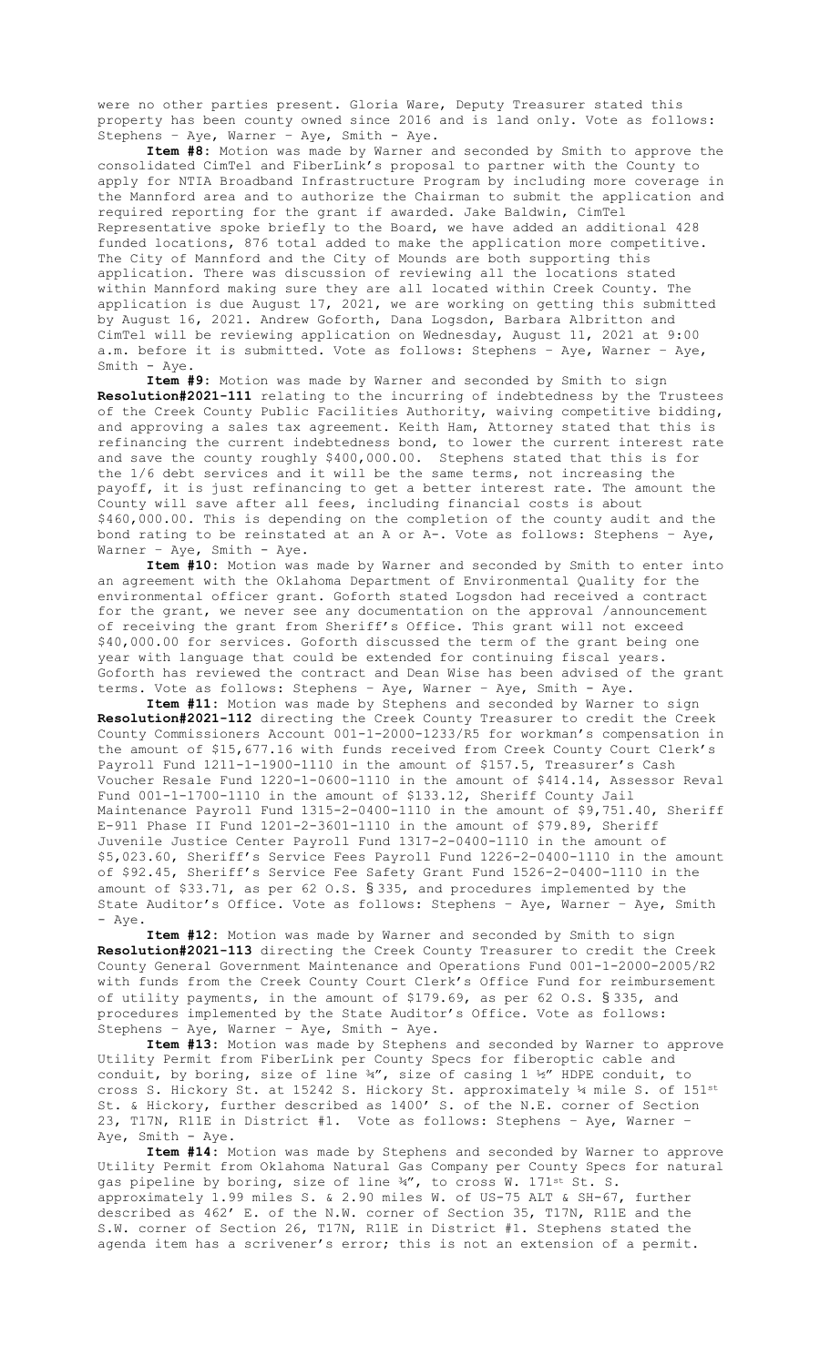were no other parties present. Gloria Ware, Deputy Treasurer stated this property has been county owned since 2016 and is land only. Vote as follows: Stephens – Aye, Warner – Aye, Smith - Aye.

**Item #8:** Motion was made by Warner and seconded by Smith to approve the consolidated CimTel and FiberLink's proposal to partner with the County to apply for NTIA Broadband Infrastructure Program by including more coverage in the Mannford area and to authorize the Chairman to submit the application and required reporting for the grant if awarded. Jake Baldwin, CimTel Representative spoke briefly to the Board, we have added an additional 428 funded locations, 876 total added to make the application more competitive. The City of Mannford and the City of Mounds are both supporting this application. There was discussion of reviewing all the locations stated within Mannford making sure they are all located within Creek County. The application is due August 17, 2021, we are working on getting this submitted by August 16, 2021. Andrew Goforth, Dana Logsdon, Barbara Albritton and CimTel will be reviewing application on Wednesday, August 11, 2021 at 9:00 a.m. before it is submitted. Vote as follows: Stephens – Aye, Warner – Aye, Smith - Aye.

**Item #9:** Motion was made by Warner and seconded by Smith to sign **Resolution#2021-111** relating to the incurring of indebtedness by the Trustees of the Creek County Public Facilities Authority, waiving competitive bidding, and approving a sales tax agreement. Keith Ham, Attorney stated that this is refinancing the current indebtedness bond, to lower the current interest rate and save the county roughly \$400,000.00. Stephens stated that this is for the 1/6 debt services and it will be the same terms, not increasing the payoff, it is just refinancing to get a better interest rate. The amount the County will save after all fees, including financial costs is about \$460,000.00. This is depending on the completion of the county audit and the bond rating to be reinstated at an A or A-. Vote as follows: Stephens – Aye, Warner - Aye, Smith - Aye.

**Item #10:** Motion was made by Warner and seconded by Smith to enter into an agreement with the Oklahoma Department of Environmental Quality for the environmental officer grant. Goforth stated Logsdon had received a contract for the grant, we never see any documentation on the approval /announcement of receiving the grant from Sheriff's Office. This grant will not exceed \$40,000.00 for services. Goforth discussed the term of the grant being one year with language that could be extended for continuing fiscal years. Goforth has reviewed the contract and Dean Wise has been advised of the grant terms. Vote as follows: Stephens – Aye, Warner – Aye, Smith - Aye.

**Item #11:** Motion was made by Stephens and seconded by Warner to sign **Resolution#2021-112** directing the Creek County Treasurer to credit the Creek County Commissioners Account 001-1-2000-1233/R5 for workman's compensation in the amount of \$15,677.16 with funds received from Creek County Court Clerk's Payroll Fund 1211-1-1900-1110 in the amount of \$157.5, Treasurer's Cash Voucher Resale Fund 1220-1-0600-1110 in the amount of \$414.14, Assessor Reval Fund 001-1-1700-1110 in the amount of \$133.12, Sheriff County Jail Maintenance Payroll Fund 1315-2-0400-1110 in the amount of \$9,751.40, Sheriff E-911 Phase II Fund 1201-2-3601-1110 in the amount of \$79.89, Sheriff Juvenile Justice Center Payroll Fund 1317-2-0400-1110 in the amount of \$5,023.60, Sheriff's Service Fees Payroll Fund 1226-2-0400-1110 in the amount of \$92.45, Sheriff's Service Fee Safety Grant Fund 1526-2-0400-1110 in the amount of \$33.71, as per 62 O.S. § 335, and procedures implemented by the State Auditor's Office. Vote as follows: Stephens – Aye, Warner – Aye, Smith - Aye.

**Item #12:** Motion was made by Warner and seconded by Smith to sign **Resolution#2021-113** directing the Creek County Treasurer to credit the Creek County General Government Maintenance and Operations Fund 001-1-2000-2005/R2 with funds from the Creek County Court Clerk's Office Fund for reimbursement of utility payments, in the amount of \$179.69, as per 62 O.S. § 335, and procedures implemented by the State Auditor's Office. Vote as follows: Stephens – Aye, Warner – Aye, Smith - Aye.

**Item #13:** Motion was made by Stephens and seconded by Warner to approve Utility Permit from FiberLink per County Specs for fiberoptic cable and conduit, by boring, size of line  $\frac{3}{4}$ , size of casing 1 ½" HDPE conduit, to cross S. Hickory St. at 15242 S. Hickory St. approximately 14 mile S. of 151st St. & Hickory, further described as 1400' S. of the N.E. corner of Section 23, T17N, R11E in District #1. Vote as follows: Stephens – Aye, Warner – Aye, Smith - Aye.

**Item #14:** Motion was made by Stephens and seconded by Warner to approve Utility Permit from Oklahoma Natural Gas Company per County Specs for natural gas pipeline by boring, size of line ¾", to cross W. 171<sup>st</sup> St. S. approximately 1.99 miles S. & 2.90 miles W. of US-75 ALT & SH-67, further described as 462' E. of the N.W. corner of Section 35, T17N, R11E and the S.W. corner of Section 26, T17N, R11E in District #1. Stephens stated the agenda item has a scrivener's error; this is not an extension of a permit.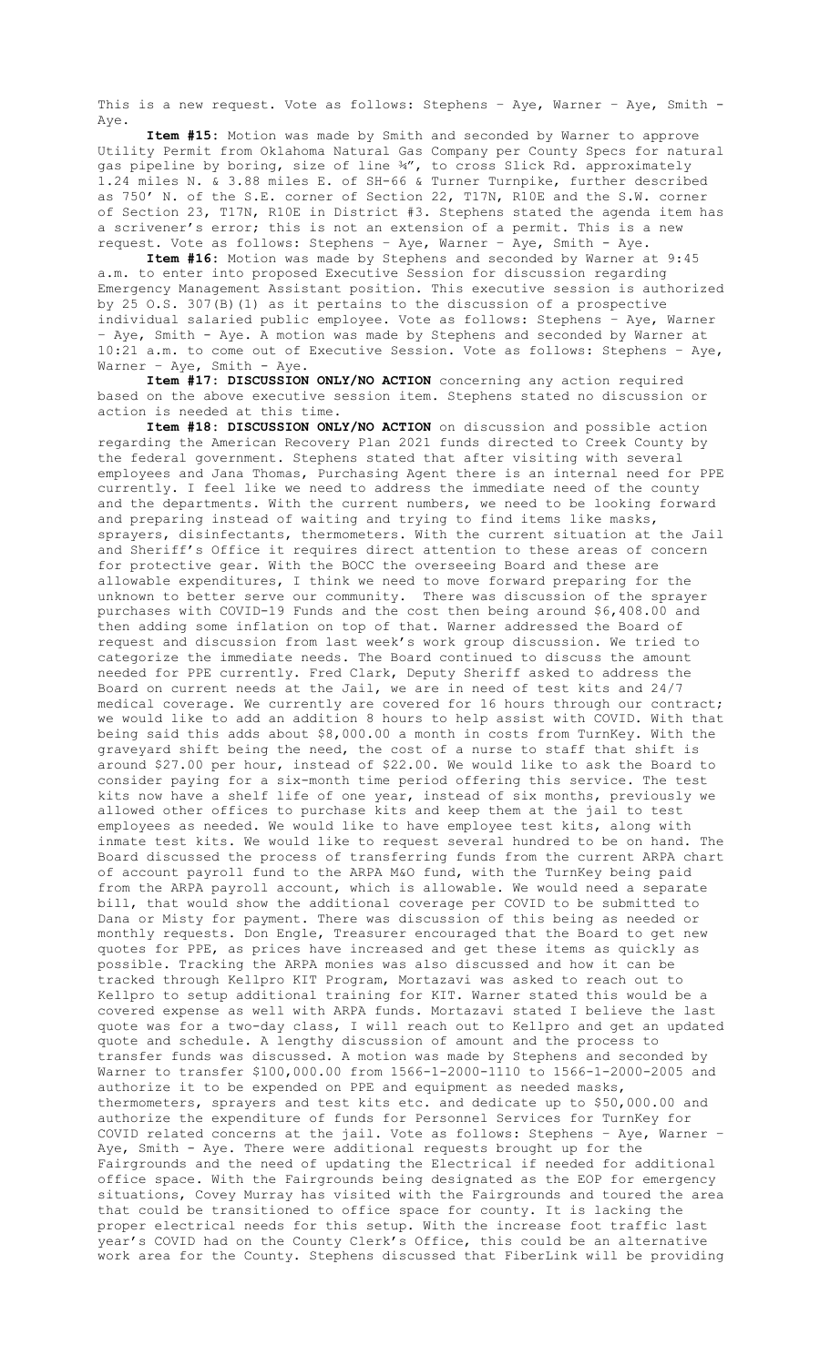This is a new request. Vote as follows: Stephens - Aye, Warner - Aye, Smith -Aye.

**Item #15:** Motion was made by Smith and seconded by Warner to approve Utility Permit from Oklahoma Natural Gas Company per County Specs for natural gas pipeline by boring, size of line ¾", to cross Slick Rd. approximately 1.24 miles N. & 3.88 miles E. of SH-66 & Turner Turnpike, further described as 750' N. of the S.E. corner of Section 22, T17N, R10E and the S.W. corner of Section 23, T17N, R10E in District #3. Stephens stated the agenda item has a scrivener's error; this is not an extension of a permit. This is a new request. Vote as follows: Stephens – Aye, Warner – Aye, Smith - Aye.

**Item #16:** Motion was made by Stephens and seconded by Warner at 9:45 a.m. to enter into proposed Executive Session for discussion regarding Emergency Management Assistant position. This executive session is authorized by 25 O.S. 307(B)(1) as it pertains to the discussion of a prospective individual salaried public employee. Vote as follows: Stephens – Aye, Warner – Aye, Smith - Aye. A motion was made by Stephens and seconded by Warner at 10:21 a.m. to come out of Executive Session. Vote as follows: Stephens – Aye, Warner – Aye, Smith - Aye.

**Item #17: DISCUSSION ONLY/NO ACTION** concerning any action required based on the above executive session item. Stephens stated no discussion or action is needed at this time.

**Item #18: DISCUSSION ONLY/NO ACTION** on discussion and possible action regarding the American Recovery Plan 2021 funds directed to Creek County by the federal government. Stephens stated that after visiting with several employees and Jana Thomas, Purchasing Agent there is an internal need for PPE currently. I feel like we need to address the immediate need of the county and the departments. With the current numbers, we need to be looking forward and preparing instead of waiting and trying to find items like masks, sprayers, disinfectants, thermometers. With the current situation at the Jail and Sheriff's Office it requires direct attention to these areas of concern for protective gear. With the BOCC the overseeing Board and these are allowable expenditures, I think we need to move forward preparing for the unknown to better serve our community. There was discussion of the sprayer purchases with COVID-19 Funds and the cost then being around \$6,408.00 and then adding some inflation on top of that. Warner addressed the Board of request and discussion from last week's work group discussion. We tried to categorize the immediate needs. The Board continued to discuss the amount needed for PPE currently. Fred Clark, Deputy Sheriff asked to address the Board on current needs at the Jail, we are in need of test kits and 24/7 medical coverage. We currently are covered for 16 hours through our contract; we would like to add an addition 8 hours to help assist with COVID. With that being said this adds about \$8,000.00 a month in costs from TurnKey. With the graveyard shift being the need, the cost of a nurse to staff that shift is around \$27.00 per hour, instead of \$22.00. We would like to ask the Board to consider paying for a six-month time period offering this service. The test kits now have a shelf life of one year, instead of six months, previously we allowed other offices to purchase kits and keep them at the jail to test employees as needed. We would like to have employee test kits, along with inmate test kits. We would like to request several hundred to be on hand. The Board discussed the process of transferring funds from the current ARPA chart of account payroll fund to the ARPA M&O fund, with the TurnKey being paid from the ARPA payroll account, which is allowable. We would need a separate bill, that would show the additional coverage per COVID to be submitted to Dana or Misty for payment. There was discussion of this being as needed or monthly requests. Don Engle, Treasurer encouraged that the Board to get new quotes for PPE, as prices have increased and get these items as quickly as possible. Tracking the ARPA monies was also discussed and how it can be tracked through Kellpro KIT Program, Mortazavi was asked to reach out to Kellpro to setup additional training for KIT. Warner stated this would be a covered expense as well with ARPA funds. Mortazavi stated I believe the last quote was for a two-day class, I will reach out to Kellpro and get an updated quote and schedule. A lengthy discussion of amount and the process to transfer funds was discussed. A motion was made by Stephens and seconded by Warner to transfer \$100,000.00 from 1566-1-2000-1110 to 1566-1-2000-2005 and authorize it to be expended on PPE and equipment as needed masks, thermometers, sprayers and test kits etc. and dedicate up to \$50,000.00 and authorize the expenditure of funds for Personnel Services for TurnKey for COVID related concerns at the jail. Vote as follows: Stephens – Aye, Warner – Aye, Smith - Aye. There were additional requests brought up for the Fairgrounds and the need of updating the Electrical if needed for additional office space. With the Fairgrounds being designated as the EOP for emergency situations, Covey Murray has visited with the Fairgrounds and toured the area that could be transitioned to office space for county. It is lacking the proper electrical needs for this setup. With the increase foot traffic last year's COVID had on the County Clerk's Office, this could be an alternative work area for the County. Stephens discussed that FiberLink will be providing